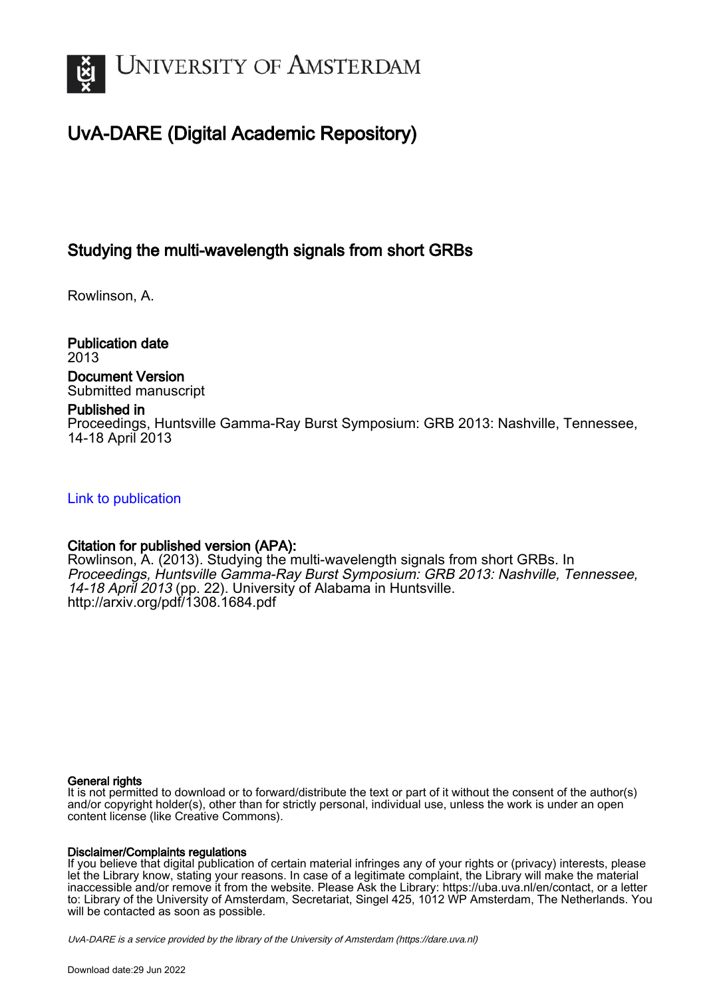

# UvA-DARE (Digital Academic Repository)

## Studying the multi-wavelength signals from short GRBs

Rowlinson, A.

Publication date 2013 Document Version

## Submitted manuscript

### Published in

Proceedings, Huntsville Gamma-Ray Burst Symposium: GRB 2013: Nashville, Tennessee, 14-18 April 2013

### [Link to publication](https://dare.uva.nl/personal/pure/en/publications/studying-the-multiwavelength-signals-from-short-grbs(e39ac693-74b2-4a71-9201-a08af196adf8).html)

### Citation for published version (APA):

Rowlinson, A. (2013). Studying the multi-wavelength signals from short GRBs. In Proceedings, Huntsville Gamma-Ray Burst Symposium: GRB 2013: Nashville, Tennessee, 14-18 April 2013 (pp. 22). University of Alabama in Huntsville. <http://arxiv.org/pdf/1308.1684.pdf>

#### General rights

It is not permitted to download or to forward/distribute the text or part of it without the consent of the author(s) and/or copyright holder(s), other than for strictly personal, individual use, unless the work is under an open content license (like Creative Commons).

### Disclaimer/Complaints regulations

If you believe that digital publication of certain material infringes any of your rights or (privacy) interests, please let the Library know, stating your reasons. In case of a legitimate complaint, the Library will make the material inaccessible and/or remove it from the website. Please Ask the Library: https://uba.uva.nl/en/contact, or a letter to: Library of the University of Amsterdam, Secretariat, Singel 425, 1012 WP Amsterdam, The Netherlands. You will be contacted as soon as possible.

UvA-DARE is a service provided by the library of the University of Amsterdam (http*s*://dare.uva.nl)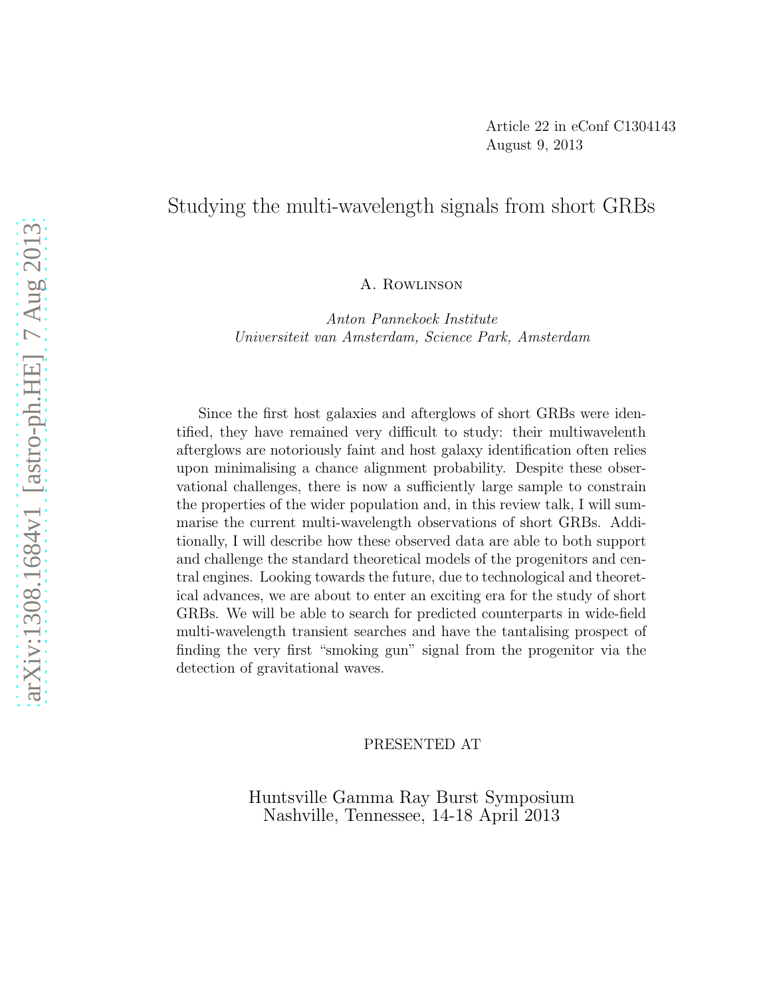## Studying the multi-wavelength signals from short GRBs

A. Rowlinson

Anton Pannekoek Institute Universiteit van Amsterdam, Science Park, Amsterdam

Since the first host galaxies and afterglows of short GRBs were identified, they have remained very difficult to study: their multiwavelenth afterglows are notoriously faint and host galaxy identification often relies upon minimalising a chance alignment probability. Despite these observational challenges, there is now a sufficiently large sample to constrain the properties of the wider population and, in this review talk, I will summarise the current multi-wavelength observations of short GRBs. Additionally, I will describe how these observed data are able to both support and challenge the standard theoretical models of the progenitors and central engines. Looking towards the future, due to technological and theoretical advances, we are about to enter an exciting era for the study of short GRBs. We will be able to search for predicted counterparts in wide-field multi-wavelength transient searches and have the tantalising prospect of finding the very first "smoking gun" signal from the progenitor via the detection of gravitational waves.

#### PRESENTED AT

Huntsville Gamma Ray Burst Symposium Nashville, Tennessee, 14-18 April 2013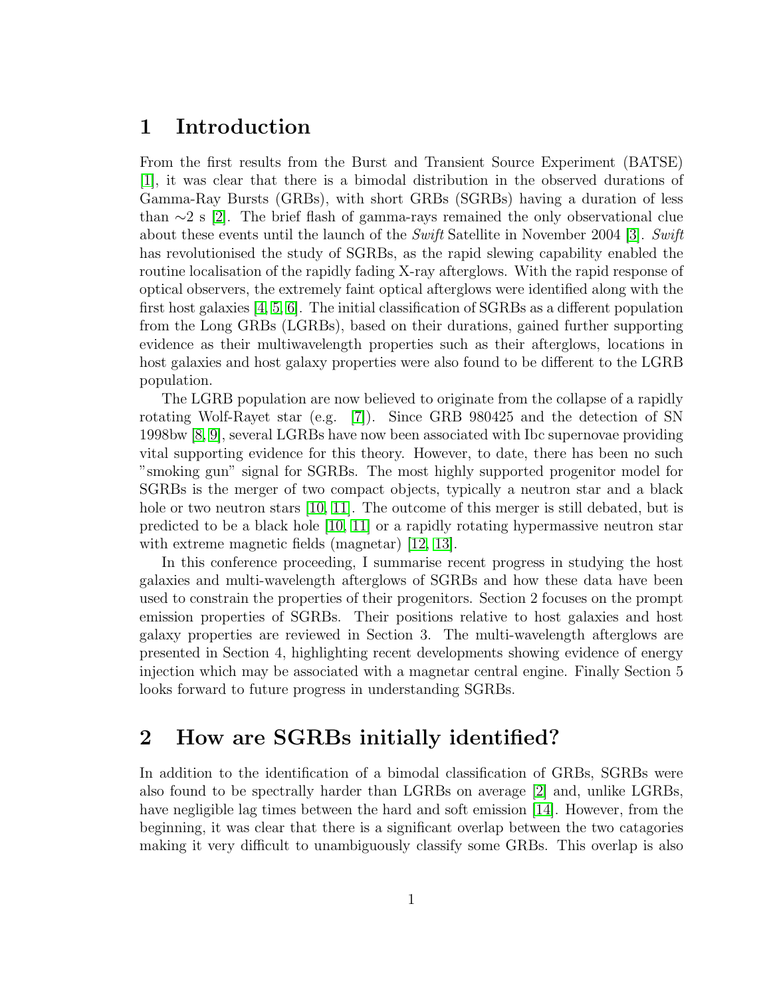## 1 Introduction

From the first results from the Burst and Transient Source Experiment (BATSE) [\[1\]](#page-10-0), it was clear that there is a bimodal distribution in the observed durations of Gamma-Ray Bursts (GRBs), with short GRBs (SGRBs) having a duration of less than  $\sim$ 2 s [\[2\]](#page-10-1). The brief flash of gamma-rays remained the only observational clue about these events until the launch of the Swift Satellite in November 2004 [\[3\]](#page-10-2). Swift has revolutionised the study of SGRBs, as the rapid slewing capability enabled the routine localisation of the rapidly fading X-ray afterglows. With the rapid response of optical observers, the extremely faint optical afterglows were identified along with the first host galaxies [\[4,](#page-10-3) [5,](#page-10-4) [6\]](#page-10-5). The initial classification of SGRBs as a different population from the Long GRBs (LGRBs), based on their durations, gained further supporting evidence as their multiwavelength properties such as their afterglows, locations in host galaxies and host galaxy properties were also found to be different to the LGRB population.

The LGRB population are now believed to originate from the collapse of a rapidly rotating Wolf-Rayet star (e.g. [\[7\]](#page-10-6)). Since GRB 980425 and the detection of SN 1998bw [\[8,](#page-10-7) [9\]](#page-10-8), several LGRBs have now been associated with Ibc supernovae providing vital supporting evidence for this theory. However, to date, there has been no such "smoking gun" signal for SGRBs. The most highly supported progenitor model for SGRBs is the merger of two compact objects, typically a neutron star and a black hole or two neutron stars [\[10,](#page-10-9) [11\]](#page-10-10). The outcome of this merger is still debated, but is predicted to be a black hole [\[10,](#page-10-9) [11\]](#page-10-10) or a rapidly rotating hypermassive neutron star with extreme magnetic fields (magnetar) [\[12,](#page-10-11) [13\]](#page-10-12).

In this conference proceeding, I summarise recent progress in studying the host galaxies and multi-wavelength afterglows of SGRBs and how these data have been used to constrain the properties of their progenitors. Section 2 focuses on the prompt emission properties of SGRBs. Their positions relative to host galaxies and host galaxy properties are reviewed in Section 3. The multi-wavelength afterglows are presented in Section 4, highlighting recent developments showing evidence of energy injection which may be associated with a magnetar central engine. Finally Section 5 looks forward to future progress in understanding SGRBs.

## 2 How are SGRBs initially identified?

In addition to the identification of a bimodal classification of GRBs, SGRBs were also found to be spectrally harder than LGRBs on average [\[2\]](#page-10-1) and, unlike LGRBs, have negligible lag times between the hard and soft emission [\[14\]](#page-10-13). However, from the beginning, it was clear that there is a significant overlap between the two catagories making it very difficult to unambiguously classify some GRBs. This overlap is also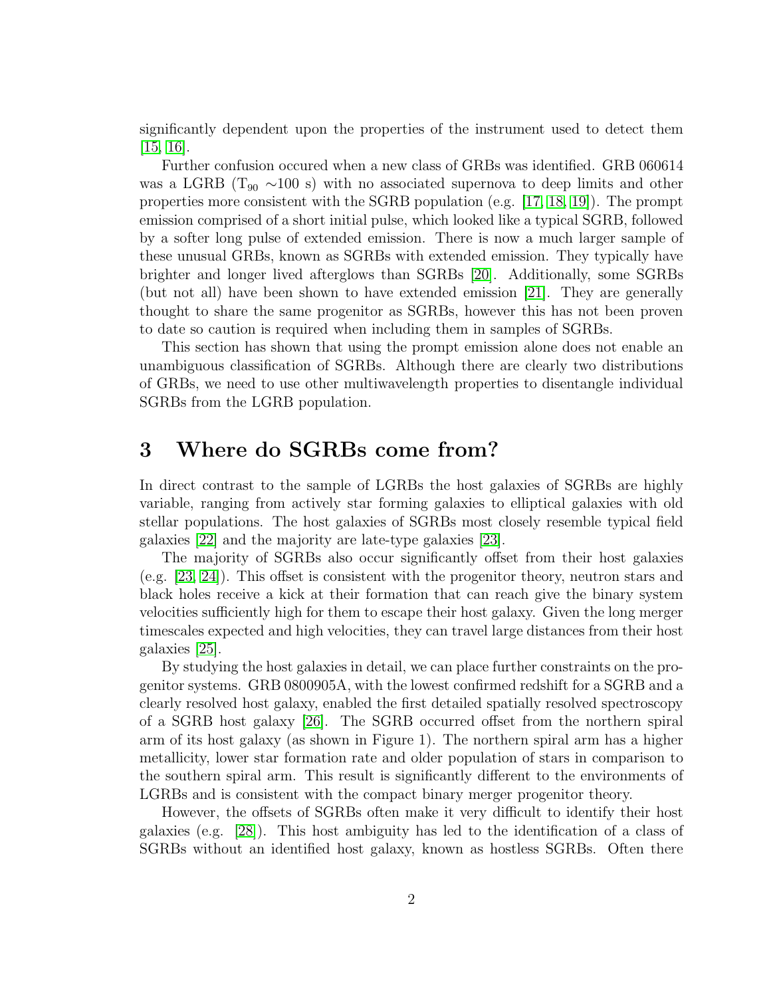significantly dependent upon the properties of the instrument used to detect them [\[15,](#page-10-14) [16\]](#page-10-15).

Further confusion occured when a new class of GRBs was identified. GRB 060614 was a LGRB ( $T_{90} \sim 100$  s) with no associated supernova to deep limits and other properties more consistent with the SGRB population (e.g. [\[17,](#page-10-16) [18,](#page-10-17) [19\]](#page-11-0)). The prompt emission comprised of a short initial pulse, which looked like a typical SGRB, followed by a softer long pulse of extended emission. There is now a much larger sample of these unusual GRBs, known as SGRBs with extended emission. They typically have brighter and longer lived afterglows than SGRBs [\[20\]](#page-11-1). Additionally, some SGRBs (but not all) have been shown to have extended emission [\[21\]](#page-11-2). They are generally thought to share the same progenitor as SGRBs, however this has not been proven to date so caution is required when including them in samples of SGRBs.

This section has shown that using the prompt emission alone does not enable an unambiguous classification of SGRBs. Although there are clearly two distributions of GRBs, we need to use other multiwavelength properties to disentangle individual SGRBs from the LGRB population.

### 3 Where do SGRBs come from?

In direct contrast to the sample of LGRBs the host galaxies of SGRBs are highly variable, ranging from actively star forming galaxies to elliptical galaxies with old stellar populations. The host galaxies of SGRBs most closely resemble typical field galaxies [\[22\]](#page-11-3) and the majority are late-type galaxies [\[23\]](#page-11-4).

The majority of SGRBs also occur significantly offset from their host galaxies (e.g. [\[23,](#page-11-4) [24\]](#page-11-5)). This offset is consistent with the progenitor theory, neutron stars and black holes receive a kick at their formation that can reach give the binary system velocities sufficiently high for them to escape their host galaxy. Given the long merger timescales expected and high velocities, they can travel large distances from their host galaxies [\[25\]](#page-11-6).

By studying the host galaxies in detail, we can place further constraints on the progenitor systems. GRB 0800905A, with the lowest confirmed redshift for a SGRB and a clearly resolved host galaxy, enabled the first detailed spatially resolved spectroscopy of a SGRB host galaxy [\[26\]](#page-11-7). The SGRB occurred offset from the northern spiral arm of its host galaxy (as shown in Figure 1). The northern spiral arm has a higher metallicity, lower star formation rate and older population of stars in comparison to the southern spiral arm. This result is significantly different to the environments of LGRBs and is consistent with the compact binary merger progenitor theory.

However, the offsets of SGRBs often make it very difficult to identify their host galaxies (e.g. [\[28\]](#page-11-8)). This host ambiguity has led to the identification of a class of SGRBs without an identified host galaxy, known as hostless SGRBs. Often there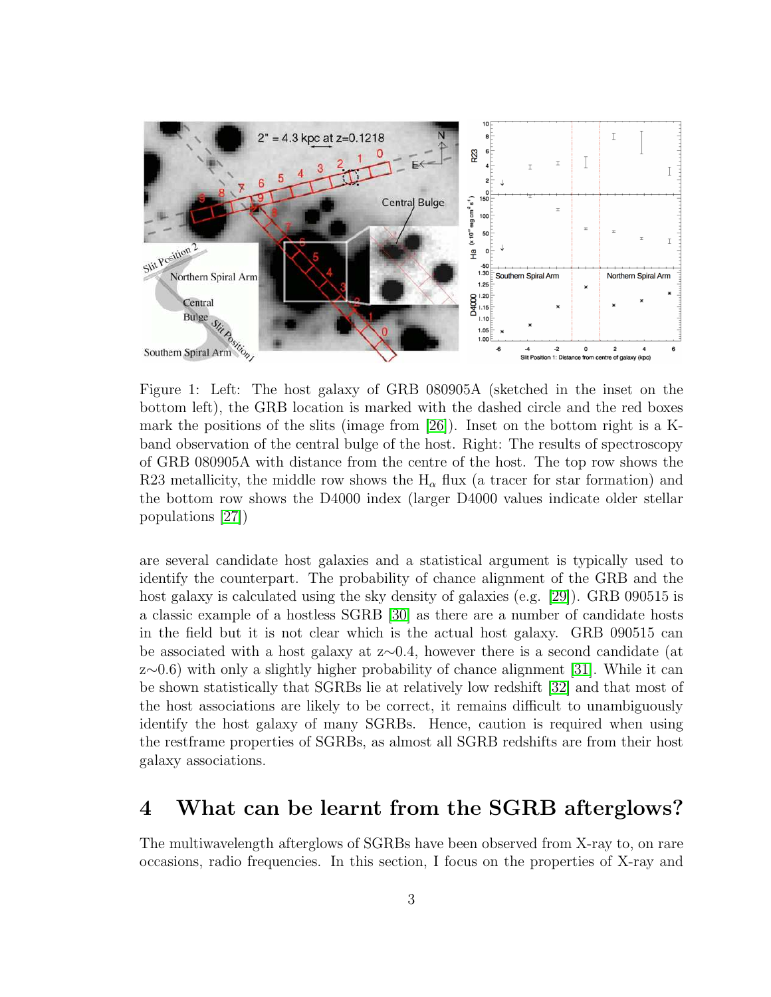

Figure 1: Left: The host galaxy of GRB 080905A (sketched in the inset on the bottom left), the GRB location is marked with the dashed circle and the red boxes mark the positions of the slits (image from [\[26\]](#page-11-7)). Inset on the bottom right is a Kband observation of the central bulge of the host. Right: The results of spectroscopy of GRB 080905A with distance from the centre of the host. The top row shows the R23 metallicity, the middle row shows the  $H_{\alpha}$  flux (a tracer for star formation) and the bottom row shows the D4000 index (larger D4000 values indicate older stellar populations [\[27\]](#page-11-9))

are several candidate host galaxies and a statistical argument is typically used to identify the counterpart. The probability of chance alignment of the GRB and the host galaxy is calculated using the sky density of galaxies (e.g. [\[29\]](#page-11-10)). GRB 090515 is a classic example of a hostless SGRB [\[30\]](#page-11-11) as there are a number of candidate hosts in the field but it is not clear which is the actual host galaxy. GRB 090515 can be associated with a host galaxy at z∼0.4, however there is a second candidate (at z∼0.6) with only a slightly higher probability of chance alignment [\[31\]](#page-11-12). While it can be shown statistically that SGRBs lie at relatively low redshift [\[32\]](#page-11-13) and that most of the host associations are likely to be correct, it remains difficult to unambiguously identify the host galaxy of many SGRBs. Hence, caution is required when using the restframe properties of SGRBs, as almost all SGRB redshifts are from their host galaxy associations.

### 4 What can be learnt from the SGRB afterglows?

The multiwavelength afterglows of SGRBs have been observed from X-ray to, on rare occasions, radio frequencies. In this section, I focus on the properties of X-ray and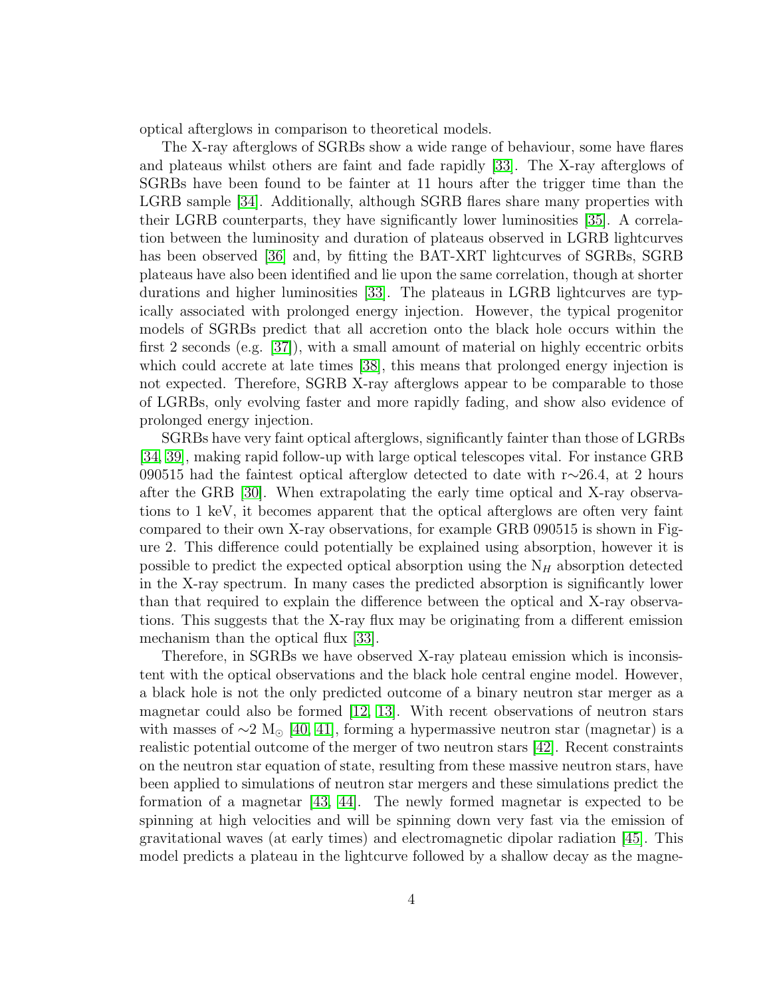optical afterglows in comparison to theoretical models.

The X-ray afterglows of SGRBs show a wide range of behaviour, some have flares and plateaus whilst others are faint and fade rapidly [\[33\]](#page-11-14). The X-ray afterglows of SGRBs have been found to be fainter at 11 hours after the trigger time than the LGRB sample [\[34\]](#page-11-15). Additionally, although SGRB flares share many properties with their LGRB counterparts, they have significantly lower luminosities [\[35\]](#page-11-16). A correlation between the luminosity and duration of plateaus observed in LGRB lightcurves has been observed [\[36\]](#page-11-17) and, by fitting the BAT-XRT lightcurves of SGRBs, SGRB plateaus have also been identified and lie upon the same correlation, though at shorter durations and higher luminosities [\[33\]](#page-11-14). The plateaus in LGRB lightcurves are typically associated with prolonged energy injection. However, the typical progenitor models of SGRBs predict that all accretion onto the black hole occurs within the first 2 seconds (e.g. [\[37\]](#page-11-18)), with a small amount of material on highly eccentric orbits which could accrete at late times [\[38\]](#page-11-19), this means that prolonged energy injection is not expected. Therefore, SGRB X-ray afterglows appear to be comparable to those of LGRBs, only evolving faster and more rapidly fading, and show also evidence of prolonged energy injection.

SGRBs have very faint optical afterglows, significantly fainter than those of LGRBs [\[34,](#page-11-15) [39\]](#page-11-20), making rapid follow-up with large optical telescopes vital. For instance GRB 090515 had the faintest optical afterglow detected to date with r∼26.4, at 2 hours after the GRB [\[30\]](#page-11-11). When extrapolating the early time optical and X-ray observations to 1 keV, it becomes apparent that the optical afterglows are often very faint compared to their own X-ray observations, for example GRB 090515 is shown in Figure 2. This difference could potentially be explained using absorption, however it is possible to predict the expected optical absorption using the  $N_H$  absorption detected in the X-ray spectrum. In many cases the predicted absorption is significantly lower than that required to explain the difference between the optical and X-ray observations. This suggests that the X-ray flux may be originating from a different emission mechanism than the optical flux [\[33\]](#page-11-14).

Therefore, in SGRBs we have observed X-ray plateau emission which is inconsistent with the optical observations and the black hole central engine model. However, a black hole is not the only predicted outcome of a binary neutron star merger as a magnetar could also be formed  $(12, 13)$ . With recent observations of neutron stars with masses of  $\sim$ 2 M<sub>☉</sub> [\[40,](#page-11-21) [41\]](#page-12-0), forming a hypermassive neutron star (magnetar) is a realistic potential outcome of the merger of two neutron stars [\[42\]](#page-12-1). Recent constraints on the neutron star equation of state, resulting from these massive neutron stars, have been applied to simulations of neutron star mergers and these simulations predict the formation of a magnetar [\[43,](#page-12-2) [44\]](#page-12-3). The newly formed magnetar is expected to be spinning at high velocities and will be spinning down very fast via the emission of gravitational waves (at early times) and electromagnetic dipolar radiation [\[45\]](#page-12-4). This model predicts a plateau in the lightcurve followed by a shallow decay as the magne-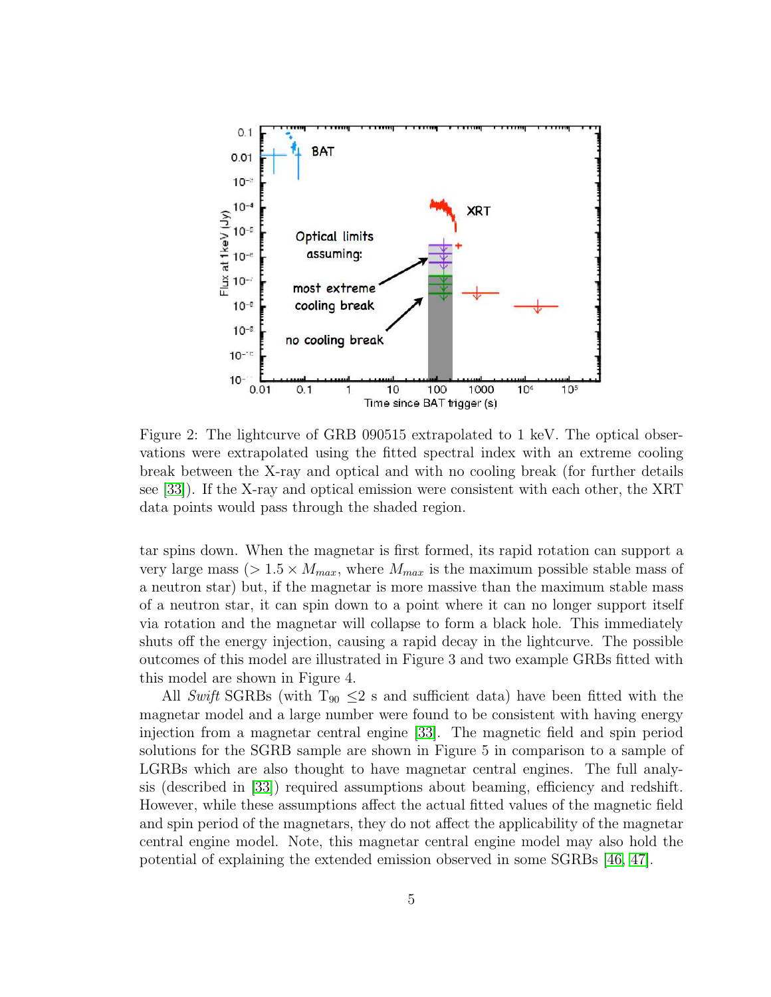

Figure 2: The lightcurve of GRB 090515 extrapolated to 1 keV. The optical observations were extrapolated using the fitted spectral index with an extreme cooling break between the X-ray and optical and with no cooling break (for further details see [\[33\]](#page-11-14)). If the X-ray and optical emission were consistent with each other, the XRT data points would pass through the shaded region.

tar spins down. When the magnetar is first formed, its rapid rotation can support a very large mass ( $> 1.5 \times M_{max}$ , where  $M_{max}$  is the maximum possible stable mass of a neutron star) but, if the magnetar is more massive than the maximum stable mass of a neutron star, it can spin down to a point where it can no longer support itself via rotation and the magnetar will collapse to form a black hole. This immediately shuts off the energy injection, causing a rapid decay in the lightcurve. The possible outcomes of this model are illustrated in Figure 3 and two example GRBs fitted with this model are shown in Figure 4.

All Swift SGRBs (with  $T_{90} \leq 2$  s and sufficient data) have been fitted with the magnetar model and a large number were found to be consistent with having energy injection from a magnetar central engine [\[33\]](#page-11-14). The magnetic field and spin period solutions for the SGRB sample are shown in Figure 5 in comparison to a sample of LGRBs which are also thought to have magnetar central engines. The full analysis (described in [\[33\]](#page-11-14)) required assumptions about beaming, efficiency and redshift. However, while these assumptions affect the actual fitted values of the magnetic field and spin period of the magnetars, they do not affect the applicability of the magnetar central engine model. Note, this magnetar central engine model may also hold the potential of explaining the extended emission observed in some SGRBs [\[46,](#page-12-5) [47\]](#page-12-6).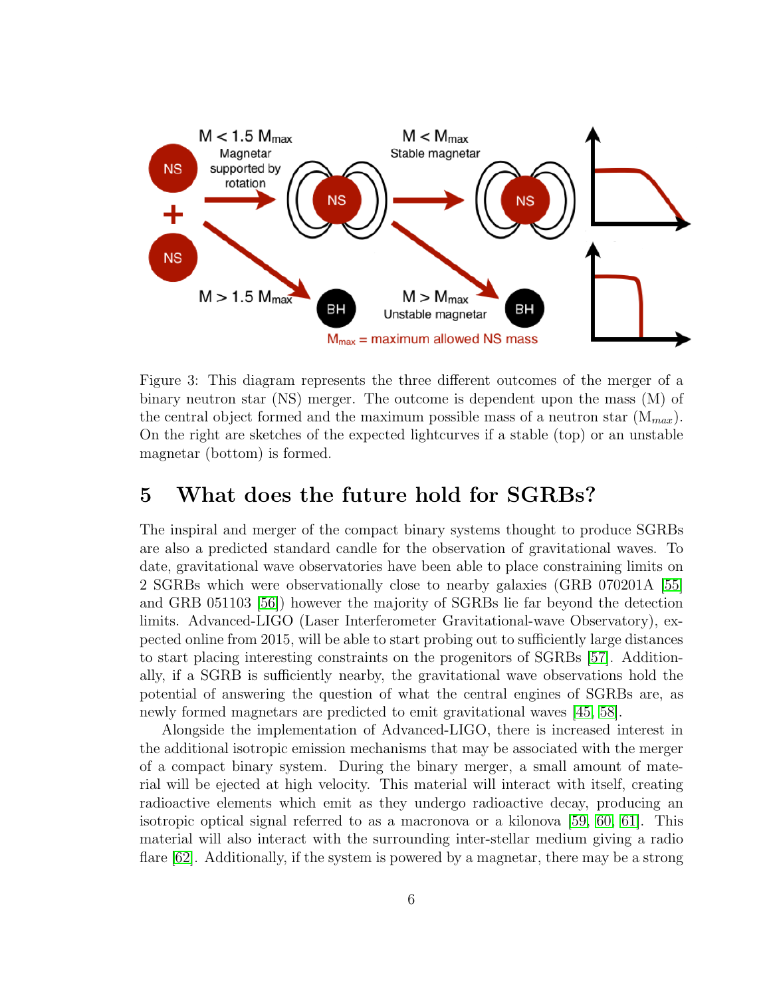

Figure 3: This diagram represents the three different outcomes of the merger of a binary neutron star (NS) merger. The outcome is dependent upon the mass (M) of the central object formed and the maximum possible mass of a neutron star  $(M_{max})$ . On the right are sketches of the expected lightcurves if a stable (top) or an unstable magnetar (bottom) is formed.

## 5 What does the future hold for SGRBs?

The inspiral and merger of the compact binary systems thought to produce SGRBs are also a predicted standard candle for the observation of gravitational waves. To date, gravitational wave observatories have been able to place constraining limits on 2 SGRBs which were observationally close to nearby galaxies (GRB 070201A [\[55\]](#page-12-7) and GRB 051103 [\[56\]](#page-12-8)) however the majority of SGRBs lie far beyond the detection limits. Advanced-LIGO (Laser Interferometer Gravitational-wave Observatory), expected online from 2015, will be able to start probing out to sufficiently large distances to start placing interesting constraints on the progenitors of SGRBs [\[57\]](#page-12-9). Additionally, if a SGRB is sufficiently nearby, the gravitational wave observations hold the potential of answering the question of what the central engines of SGRBs are, as newly formed magnetars are predicted to emit gravitational waves [\[45,](#page-12-4) [58\]](#page-12-10).

Alongside the implementation of Advanced-LIGO, there is increased interest in the additional isotropic emission mechanisms that may be associated with the merger of a compact binary system. During the binary merger, a small amount of material will be ejected at high velocity. This material will interact with itself, creating radioactive elements which emit as they undergo radioactive decay, producing an isotropic optical signal referred to as a macronova or a kilonova [\[59,](#page-12-11) [60,](#page-12-12) [61\]](#page-12-13). This material will also interact with the surrounding inter-stellar medium giving a radio flare [\[62\]](#page-12-14). Additionally, if the system is powered by a magnetar, there may be a strong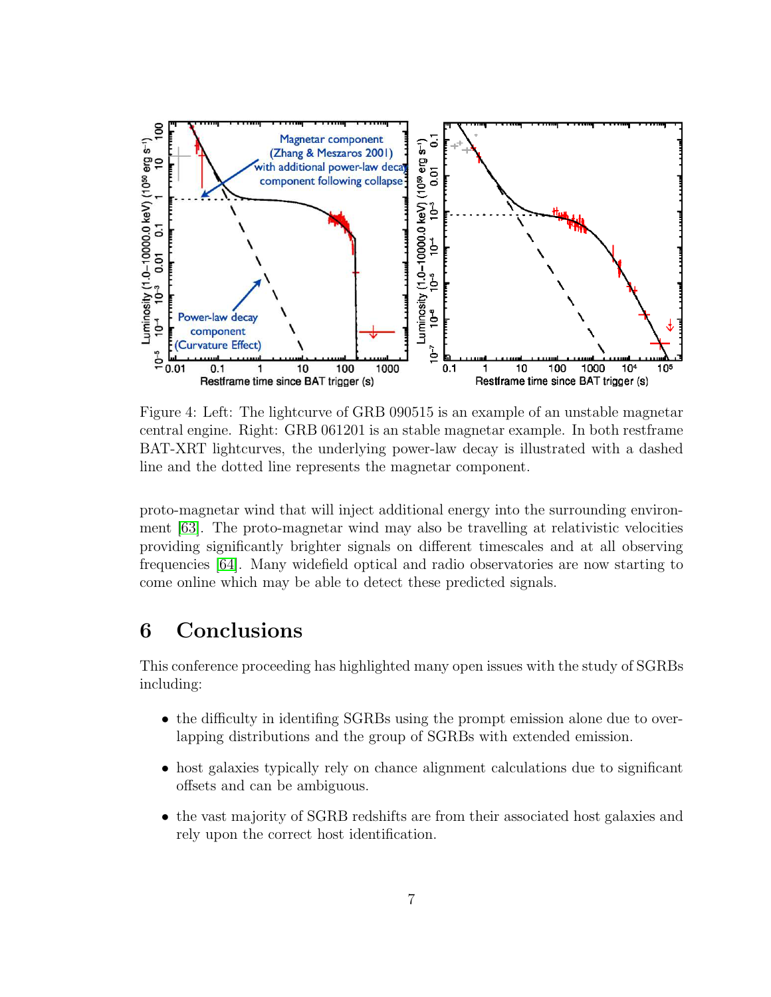

Figure 4: Left: The lightcurve of GRB 090515 is an example of an unstable magnetar central engine. Right: GRB 061201 is an stable magnetar example. In both restframe BAT-XRT lightcurves, the underlying power-law decay is illustrated with a dashed line and the dotted line represents the magnetar component.

proto-magnetar wind that will inject additional energy into the surrounding environment [\[63\]](#page-12-15). The proto-magnetar wind may also be travelling at relativistic velocities providing significantly brighter signals on different timescales and at all observing frequencies [\[64\]](#page-12-16). Many widefield optical and radio observatories are now starting to come online which may be able to detect these predicted signals.

## 6 Conclusions

This conference proceeding has highlighted many open issues with the study of SGRBs including:

- the difficulty in identifing SGRBs using the prompt emission alone due to overlapping distributions and the group of SGRBs with extended emission.
- host galaxies typically rely on chance alignment calculations due to significant offsets and can be ambiguous.
- the vast majority of SGRB redshifts are from their associated host galaxies and rely upon the correct host identification.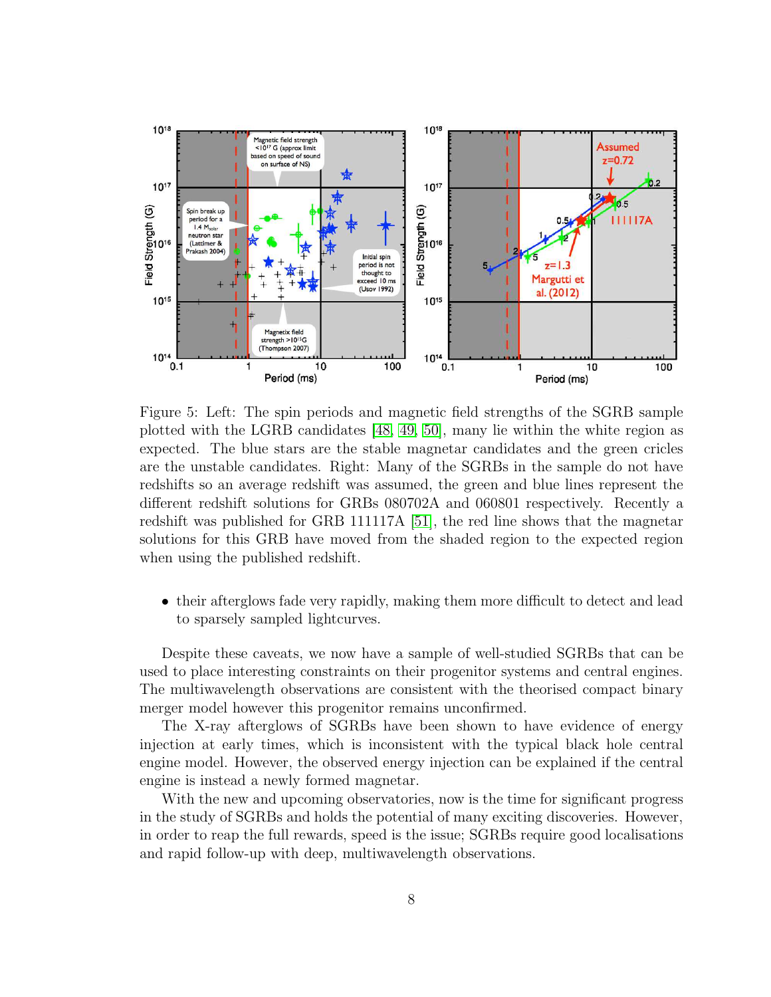

Figure 5: Left: The spin periods and magnetic field strengths of the SGRB sample plotted with the LGRB candidates [\[48,](#page-12-17) [49,](#page-12-18) [50\]](#page-12-19), many lie within the white region as expected. The blue stars are the stable magnetar candidates and the green cricles are the unstable candidates. Right: Many of the SGRBs in the sample do not have redshifts so an average redshift was assumed, the green and blue lines represent the different redshift solutions for GRBs 080702A and 060801 respectively. Recently a redshift was published for GRB 111117A [\[51\]](#page-12-20), the red line shows that the magnetar solutions for this GRB have moved from the shaded region to the expected region when using the published redshift.

• their afterglows fade very rapidly, making them more difficult to detect and lead to sparsely sampled lightcurves.

Despite these caveats, we now have a sample of well-studied SGRBs that can be used to place interesting constraints on their progenitor systems and central engines. The multiwavelength observations are consistent with the theorised compact binary merger model however this progenitor remains unconfirmed.

The X-ray afterglows of SGRBs have been shown to have evidence of energy injection at early times, which is inconsistent with the typical black hole central engine model. However, the observed energy injection can be explained if the central engine is instead a newly formed magnetar.

With the new and upcoming observatories, now is the time for significant progress in the study of SGRBs and holds the potential of many exciting discoveries. However, in order to reap the full rewards, speed is the issue; SGRBs require good localisations and rapid follow-up with deep, multiwavelength observations.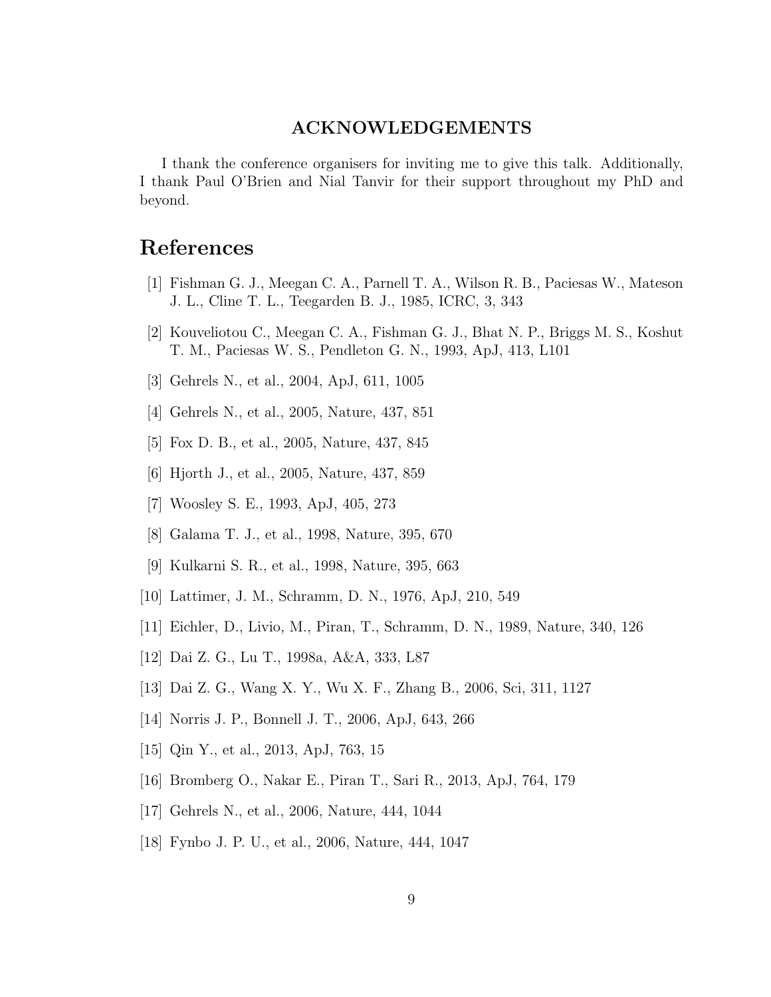### ACKNOWLEDGEMENTS

I thank the conference organisers for inviting me to give this talk. Additionally, I thank Paul O'Brien and Nial Tanvir for their support throughout my PhD and beyond.

# <span id="page-10-0"></span>References

- <span id="page-10-1"></span>[1] Fishman G. J., Meegan C. A., Parnell T. A., Wilson R. B., Paciesas W., Mateson J. L., Cline T. L., Teegarden B. J., 1985, ICRC, 3, 343
- <span id="page-10-2"></span>[2] Kouveliotou C., Meegan C. A., Fishman G. J., Bhat N. P., Briggs M. S., Koshut T. M., Paciesas W. S., Pendleton G. N., 1993, ApJ, 413, L101
- <span id="page-10-3"></span>[3] Gehrels N., et al., 2004, ApJ, 611, 1005
- <span id="page-10-4"></span>[4] Gehrels N., et al., 2005, Nature, 437, 851
- <span id="page-10-5"></span>[5] Fox D. B., et al., 2005, Nature, 437, 845
- <span id="page-10-6"></span>[6] Hjorth J., et al., 2005, Nature, 437, 859
- <span id="page-10-7"></span>[7] Woosley S. E., 1993, ApJ, 405, 273
- <span id="page-10-8"></span>[8] Galama T. J., et al., 1998, Nature, 395, 670
- <span id="page-10-9"></span>[9] Kulkarni S. R., et al., 1998, Nature, 395, 663
- <span id="page-10-10"></span>[10] Lattimer, J. M., Schramm, D. N., 1976, ApJ, 210, 549
- <span id="page-10-11"></span>[11] Eichler, D., Livio, M., Piran, T., Schramm, D. N., 1989, Nature, 340, 126
- <span id="page-10-12"></span>[12] Dai Z. G., Lu T., 1998a, A&A, 333, L87
- <span id="page-10-13"></span>[13] Dai Z. G., Wang X. Y., Wu X. F., Zhang B., 2006, Sci, 311, 1127
- <span id="page-10-14"></span>[14] Norris J. P., Bonnell J. T., 2006, ApJ, 643, 266
- <span id="page-10-15"></span>[15] Qin Y., et al., 2013, ApJ, 763, 15
- <span id="page-10-16"></span>[16] Bromberg O., Nakar E., Piran T., Sari R., 2013, ApJ, 764, 179
- <span id="page-10-17"></span>[17] Gehrels N., et al., 2006, Nature, 444, 1044
- [18] Fynbo J. P. U., et al., 2006, Nature, 444, 1047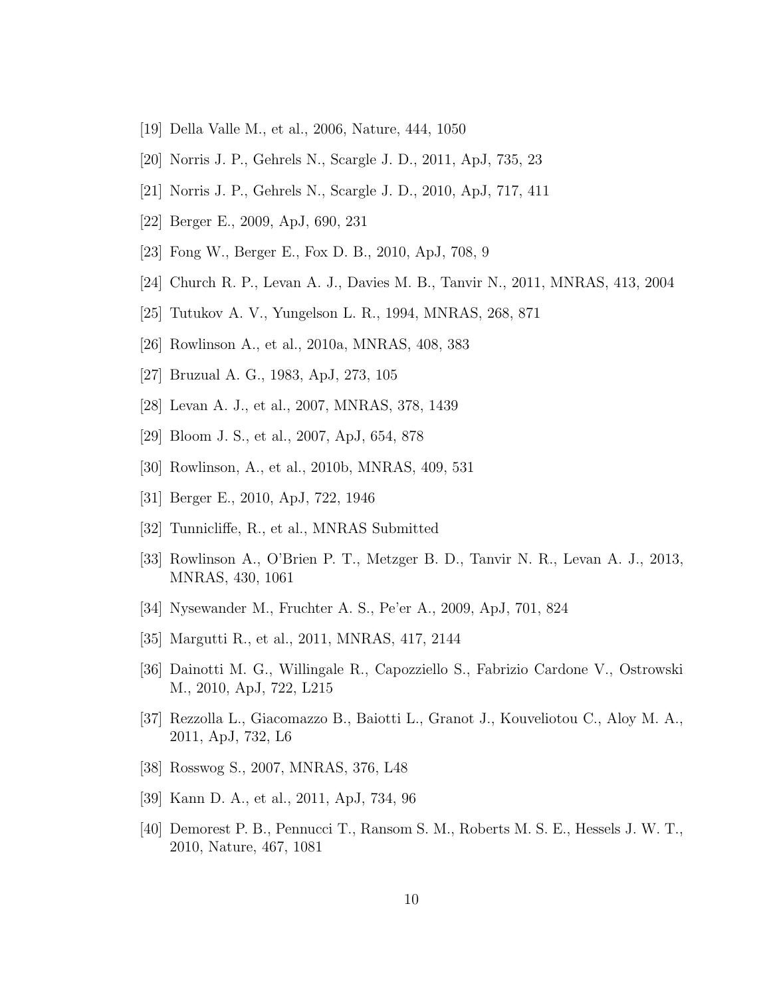- <span id="page-11-1"></span><span id="page-11-0"></span>[19] Della Valle M., et al., 2006, Nature, 444, 1050
- <span id="page-11-2"></span>[20] Norris J. P., Gehrels N., Scargle J. D., 2011, ApJ, 735, 23
- <span id="page-11-3"></span>[21] Norris J. P., Gehrels N., Scargle J. D., 2010, ApJ, 717, 411
- <span id="page-11-4"></span>[22] Berger E., 2009, ApJ, 690, 231
- <span id="page-11-5"></span>[23] Fong W., Berger E., Fox D. B., 2010, ApJ, 708, 9
- <span id="page-11-6"></span>[24] Church R. P., Levan A. J., Davies M. B., Tanvir N., 2011, MNRAS, 413, 2004
- <span id="page-11-7"></span>[25] Tutukov A. V., Yungelson L. R., 1994, MNRAS, 268, 871
- <span id="page-11-9"></span>[26] Rowlinson A., et al., 2010a, MNRAS, 408, 383
- <span id="page-11-8"></span>[27] Bruzual A. G., 1983, ApJ, 273, 105
- <span id="page-11-10"></span>[28] Levan A. J., et al., 2007, MNRAS, 378, 1439
- <span id="page-11-11"></span>[29] Bloom J. S., et al., 2007, ApJ, 654, 878
- <span id="page-11-12"></span>[30] Rowlinson, A., et al., 2010b, MNRAS, 409, 531
- <span id="page-11-13"></span>[31] Berger E., 2010, ApJ, 722, 1946
- <span id="page-11-14"></span>[32] Tunnicliffe, R., et al., MNRAS Submitted
- <span id="page-11-15"></span>[33] Rowlinson A., O'Brien P. T., Metzger B. D., Tanvir N. R., Levan A. J., 2013, MNRAS, 430, 1061
- <span id="page-11-16"></span>[34] Nysewander M., Fruchter A. S., Pe'er A., 2009, ApJ, 701, 824
- <span id="page-11-17"></span>[35] Margutti R., et al., 2011, MNRAS, 417, 2144
- <span id="page-11-18"></span>[36] Dainotti M. G., Willingale R., Capozziello S., Fabrizio Cardone V., Ostrowski M., 2010, ApJ, 722, L215
- <span id="page-11-19"></span>[37] Rezzolla L., Giacomazzo B., Baiotti L., Granot J., Kouveliotou C., Aloy M. A., 2011, ApJ, 732, L6
- <span id="page-11-20"></span>[38] Rosswog S., 2007, MNRAS, 376, L48
- <span id="page-11-21"></span>[39] Kann D. A., et al., 2011, ApJ, 734, 96
- [40] Demorest P. B., Pennucci T., Ransom S. M., Roberts M. S. E., Hessels J. W. T., 2010, Nature, 467, 1081